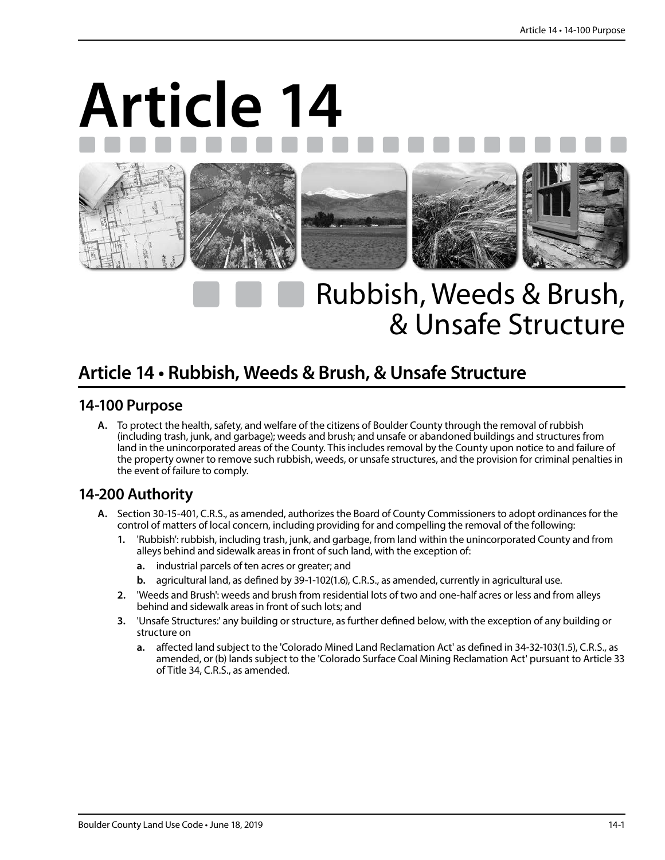# **Article 14**



## Rubbish, Weeds & Brush, & Unsafe Structure

### **Article 14 • Rubbish, Weeds & Brush, & Unsafe Structure**

#### **14-100 Purpose**

**A.** To protect the health, safety, and welfare of the citizens of Boulder County through the removal of rubbish (including trash, junk, and garbage); weeds and brush; and unsafe or abandoned buildings and structures from land in the unincorporated areas of the County. This includes removal by the County upon notice to and failure of the property owner to remove such rubbish, weeds, or unsafe structures, and the provision for criminal penalties in the event of failure to comply.

#### **14-200 Authority**

- **A.** Section 30-15-401, C.R.S., as amended, authorizes the Board of County Commissioners to adopt ordinances for the control of matters of local concern, including providing for and compelling the removal of the following:
	- **1.** 'Rubbish': rubbish, including trash, junk, and garbage, from land within the unincorporated County and from alleys behind and sidewalk areas in front of such land, with the exception of:
		- **a.** industrial parcels of ten acres or greater; and
		- **b.** agricultural land, as defined by 39-1-102(1.6), C.R.S., as amended, currently in agricultural use.
	- **2.** 'Weeds and Brush': weeds and brush from residential lots of two and one-half acres or less and from alleys behind and sidewalk areas in front of such lots; and
	- **3.** 'Unsafe Structures:' any building or structure, as further defined below, with the exception of any building or structure on
		- **a.** affected land subject to the 'Colorado Mined Land Reclamation Act' as defined in 34-32-103(1.5), C.R.S., as amended, or (b) lands subject to the 'Colorado Surface Coal Mining Reclamation Act' pursuant to Article 33 of Title 34, C.R.S., as amended.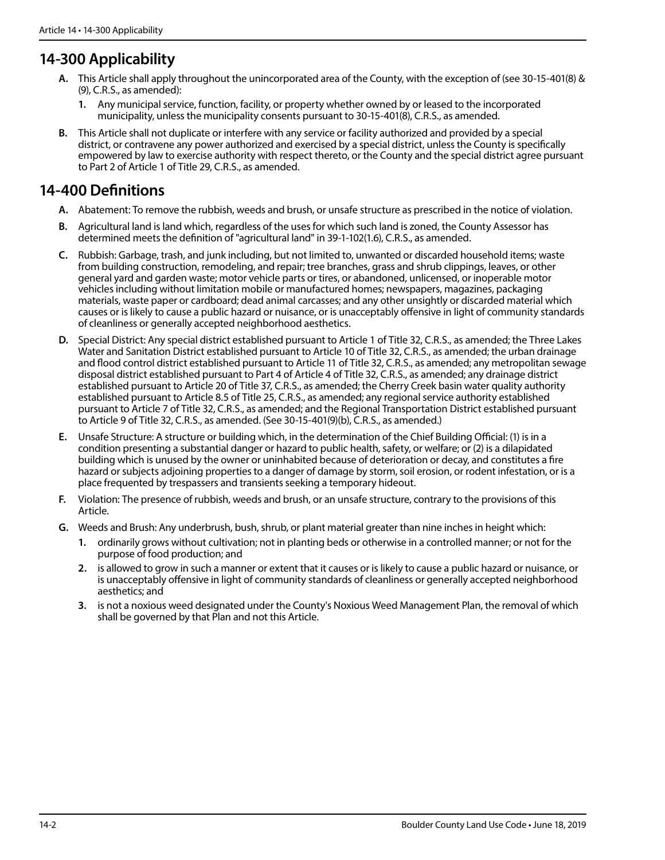#### **14-300 Applicability**

- **A.** This Article shall apply throughout the unincorporated area of the County, with the exception of (see 30-15-401(8) & (9), C.R.S., as amended):
	- **1.** Any municipal service, function, facility, or property whether owned by or leased to the incorporated municipality, unless the municipality consents pursuant to 30-15-401(8), C.R.S., as amended.
- **B.** This Article shall not duplicate or interfere with any service or facility authorized and provided by a special district, or contravene any power authorized and exercised by a special district, unless the County is specifically empowered by law to exercise authority with respect thereto, or the County and the special district agree pursuant to Part 2 of Article 1 of Title 29, C.R.S., as amended.

#### **14-400 Definitions**

- **A.** Abatement: To remove the rubbish, weeds and brush, or unsafe structure as prescribed in the notice of violation.
- **B.** Agricultural land is land which, regardless of the uses for which such land is zoned, the County Assessor has determined meets the definition of "agricultural land" in 39-1-102(1.6), C.R.S., as amended.
- **C.** Rubbish: Garbage, trash, and junk including, but not limited to, unwanted or discarded household items; waste from building construction, remodeling, and repair; tree branches, grass and shrub clippings, leaves, or other general yard and garden waste; motor vehicle parts or tires, or abandoned, unlicensed, or inoperable motor vehicles including without limitation mobile or manufactured homes; newspapers, magazines, packaging materials, waste paper or cardboard; dead animal carcasses; and any other unsightly or discarded material which causes or is likely to cause a public hazard or nuisance, or is unacceptably offensive in light of community standards of cleanliness or generally accepted neighborhood aesthetics.
- **D.** Special District: Any special district established pursuant to Article 1 of Title 32, C.R.S., as amended; the Three Lakes Water and Sanitation District established pursuant to Article 10 of Title 32, C.R.S., as amended; the urban drainage and flood control district established pursuant to Article 11 of Title 32, C.R.S., as amended; any metropolitan sewage disposal district established pursuant to Part 4 of Article 4 of Title 32, C.R.S., as amended; any drainage district established pursuant to Article 20 of Title 37, C.R.S., as amended; the Cherry Creek basin water quality authority established pursuant to Article 8.5 of Title 25, C.R.S., as amended; any regional service authority established pursuant to Article 7 of Title 32, C.R.S., as amended; and the Regional Transportation District established pursuant to Article 9 of Title 32, C.R.S., as amended. (See 30-15-401(9)(b), C.R.S., as amended.)
- **E.** Unsafe Structure: A structure or building which, in the determination of the Chief Building Official: (1) is in a condition presenting a substantial danger or hazard to public health, safety, or welfare; or (2) is a dilapidated building which is unused by the owner or uninhabited because of deterioration or decay, and constitutes a fire hazard or subjects adjoining properties to a danger of damage by storm, soil erosion, or rodent infestation, or is a place frequented by trespassers and transients seeking a temporary hideout.
- **F.** Violation: The presence of rubbish, weeds and brush, or an unsafe structure, contrary to the provisions of this Article.
- **G.** Weeds and Brush: Any underbrush, bush, shrub, or plant material greater than nine inches in height which:
	- **1.** ordinarily grows without cultivation; not in planting beds or otherwise in a controlled manner; or not for the purpose of food production; and
	- **2.** is allowed to grow in such a manner or extent that it causes or is likely to cause a public hazard or nuisance, or is unacceptably offensive in light of community standards of cleanliness or generally accepted neighborhood aesthetics; and
	- **3.** is not a noxious weed designated under the County's Noxious Weed Management Plan, the removal of which shall be governed by that Plan and not this Article.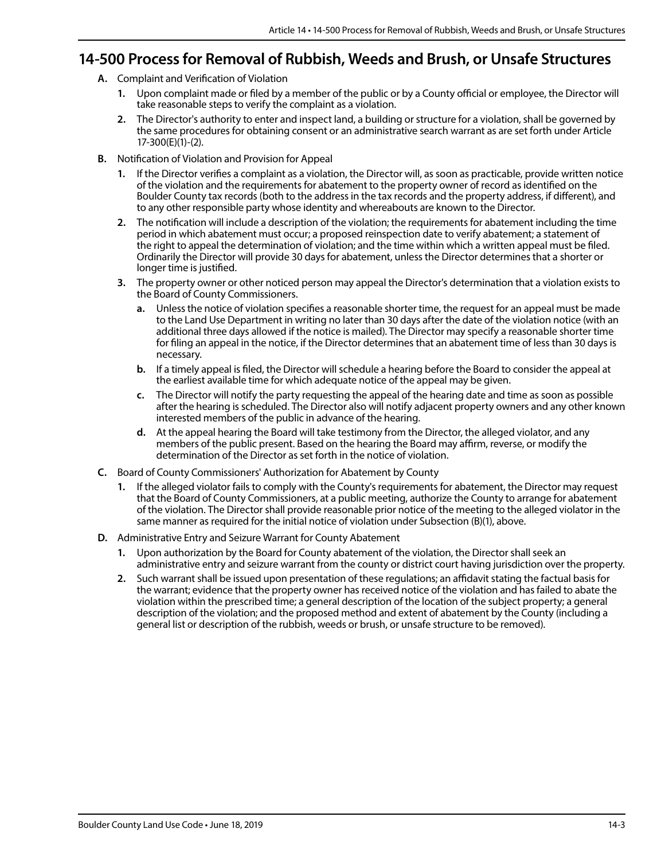#### **14-500 Process for Removal of Rubbish, Weeds and Brush, or Unsafe Structures**

- **A.** Complaint and Verification of Violation
	- **1.** Upon complaint made or filed by a member of the public or by a County official or employee, the Director will take reasonable steps to verify the complaint as a violation.
	- **2.** The Director's authority to enter and inspect land, a building or structure for a violation, shall be governed by the same procedures for obtaining consent or an administrative search warrant as are set forth under Article 17-300(E)(1)-(2).
- **B.** Notification of Violation and Provision for Appeal
	- **1.** If the Director verifies a complaint as a violation, the Director will, as soon as practicable, provide written notice of the violation and the requirements for abatement to the property owner of record as identified on the Boulder County tax records (both to the address in the tax records and the property address, if different), and to any other responsible party whose identity and whereabouts are known to the Director.
	- **2.** The notification will include a description of the violation; the requirements for abatement including the time period in which abatement must occur; a proposed reinspection date to verify abatement; a statement of the right to appeal the determination of violation; and the time within which a written appeal must be filed. Ordinarily the Director will provide 30 days for abatement, unless the Director determines that a shorter or longer time is justified.
	- **3.** The property owner or other noticed person may appeal the Director's determination that a violation exists to the Board of County Commissioners.
		- **a.** Unless the notice of violation specifies a reasonable shorter time, the request for an appeal must be made to the Land Use Department in writing no later than 30 days after the date of the violation notice (with an additional three days allowed if the notice is mailed). The Director may specify a reasonable shorter time for filing an appeal in the notice, if the Director determines that an abatement time of less than 30 days is necessary.
		- **b.** If a timely appeal is filed, the Director will schedule a hearing before the Board to consider the appeal at the earliest available time for which adequate notice of the appeal may be given.
		- **c.** The Director will notify the party requesting the appeal of the hearing date and time as soon as possible after the hearing is scheduled. The Director also will notify adjacent property owners and any other known interested members of the public in advance of the hearing.
		- **d.** At the appeal hearing the Board will take testimony from the Director, the alleged violator, and any members of the public present. Based on the hearing the Board may affirm, reverse, or modify the determination of the Director as set forth in the notice of violation.
- **C.** Board of County Commissioners' Authorization for Abatement by County
	- **1.** If the alleged violator fails to comply with the County's requirements for abatement, the Director may request that the Board of County Commissioners, at a public meeting, authorize the County to arrange for abatement of the violation. The Director shall provide reasonable prior notice of the meeting to the alleged violator in the same manner as required for the initial notice of violation under Subsection (B)(1), above.
- **D.** Administrative Entry and Seizure Warrant for County Abatement
	- **1.** Upon authorization by the Board for County abatement of the violation, the Director shall seek an administrative entry and seizure warrant from the county or district court having jurisdiction over the property.
	- **2.** Such warrant shall be issued upon presentation of these regulations; an affidavit stating the factual basis for the warrant; evidence that the property owner has received notice of the violation and has failed to abate the violation within the prescribed time; a general description of the location of the subject property; a general description of the violation; and the proposed method and extent of abatement by the County (including a general list or description of the rubbish, weeds or brush, or unsafe structure to be removed).